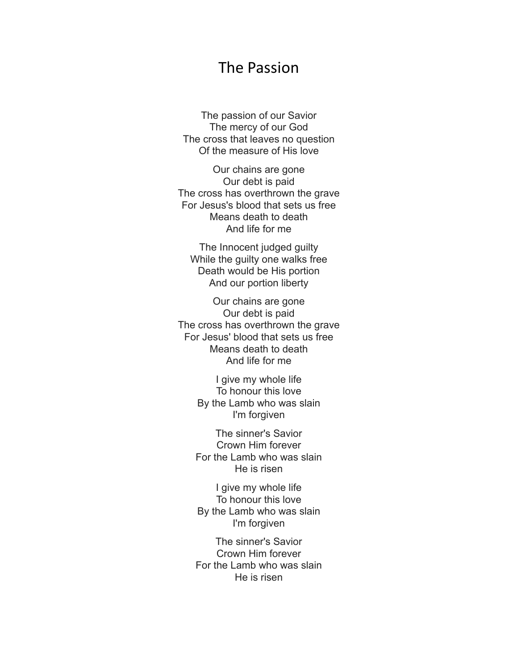## The Passion

The passion of our Savior The mercy of our God The cross that leaves no question Of the measure of His love

Our chains are gone Our debt is paid The cross has overthrown the grave For Jesus's blood that sets us free Means death to death And life for me

The Innocent judged guilty While the guilty one walks free Death would be His portion And our portion liberty

Our chains are gone Our debt is paid The cross has overthrown the grave For Jesus' blood that sets us free Means death to death And life for me

> I give my whole life To honour this love By the Lamb who was slain I'm forgiven

The sinner's Savior Crown Him forever For the Lamb who was slain He is risen

I give my whole life To honour this love By the Lamb who was slain I'm forgiven

The sinner's Savior Crown Him forever For the Lamb who was slain He is risen